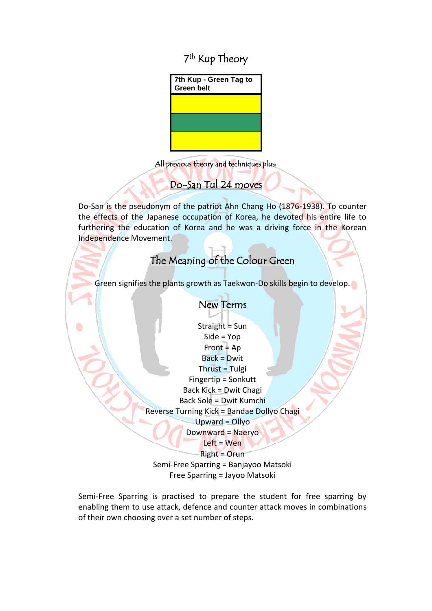### 7<sup>th</sup> Kup Theory



All previous theory and techniques plus:

# Do-San Tul 24 moves

Do-San is the pseudonym of the patriot Ahn Chang Ho (1876-1938). To counter the effects of the Japanese occupation of Korea, he devoted his entire life to furthering the education of Korea and he was a driving force in the Korean Independence Movement.

# The Meaning of the Colour Green

Green signifies the plants growth as Taekwon-Do skills begin to develop.

#### New Terms

Straight = Sun Side = Yop  $Front = Ap$ Back = Dwit  $Thrust = Tulgi$ Fingertip = Sonkutt Back Kick = Dwit Chagi Back Sole = Dwit Kumchi Reverse Turning Kick = Bandae Dollyo Chagi Upward = Ollyo Downward = Naeryo Left = Wen

Right = Orun

Semi-Free Sparring = Banjayoo Matsoki Free Sparring = Jayoo Matsoki

Semi-Free Sparring is practised to prepare the student for free sparring by enabling them to use attack, defence and counter attack moves in combinations of their own choosing over a set number of steps.